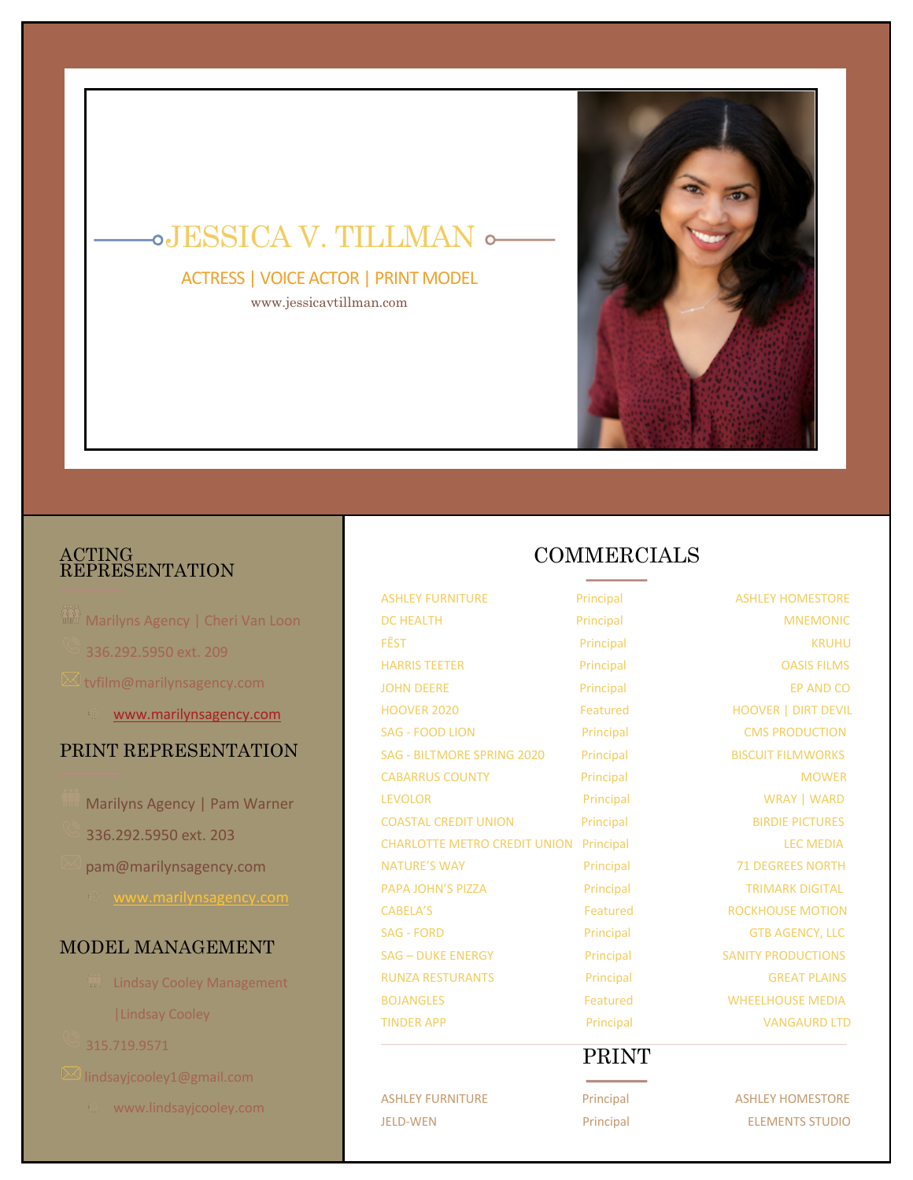

# JESSICA V. TILLMAN

ACTRESS | VOICE ACTOR | PRINT MODEL www.jessicavtillman.com

#### ACTING REPRESENTATION

- **Marilyns Agency | Cheri Van Loon** 336.292.5950 ext. 209  $\boxtimes$  tvfilm@marilynsagency.com www.marilynsagency.com PRINT REPRESENTATION Marilyns Agency | Pam Warner 336.292.5950 ext. 203 pam@marilynsagency.com
	-

### MODEL MANAGEMENT

- **W** Lindsay Cooley Management |Lindsay Cooley
- 315.719.9571
- - www.lindsayjcooley.com

## COMMERCIALS

ASHLEY FURNITURE Principal ASHLEY HOMESTORE DC HEALTH Principal Principal MNEMONIC FĒST Principal KRUHU HARRIS TEETER **Principal** Principal **Principal** OASIS FILMS JOHN DEERE PRINCIPAL Principal Principal EP AND CO HOOVER 2020 Featured HOOVER | DIRT DEVIL SAG - FOOD LION Principal Principal CMS PRODUCTION SAG - BILTMORE SPRING 2020 Principal BISCUIT FILMWORKS CABARRUS COUNTY **Principal** Principal MOWER LEVOLOR Principal Principal WRAY | WARD COASTAL CREDIT UNION Principal Principal BIRDIE PICTURES CHARLOTTE METRO CREDIT UNION Principal LEC MEDIA NATURE'S WAY **Principal** Principal 71 DEGREES NORTH PAPA JOHN'S PIZZA Principal Principal TRIMARK DIGITAL CABELA'S Featured ROCKHOUSE MOTION SAG - FORD **Principal** Principal GTB AGENCY, LLC SAG – DUKE ENERGY Principal SANITY PRODUCTIONS RUNZA RESTURANTS **Principal** Principal GREAT PLAINS BOJANGLES Featured WHEELHOUSE MEDIA TINDER APP **Principal** Principal VANGAURD LTD

# PRINT

ASHLEY FURNITURE **Principal** Principal ASHLEY HOMESTORE JELD-WEN Principal ELEMENTS STUDIO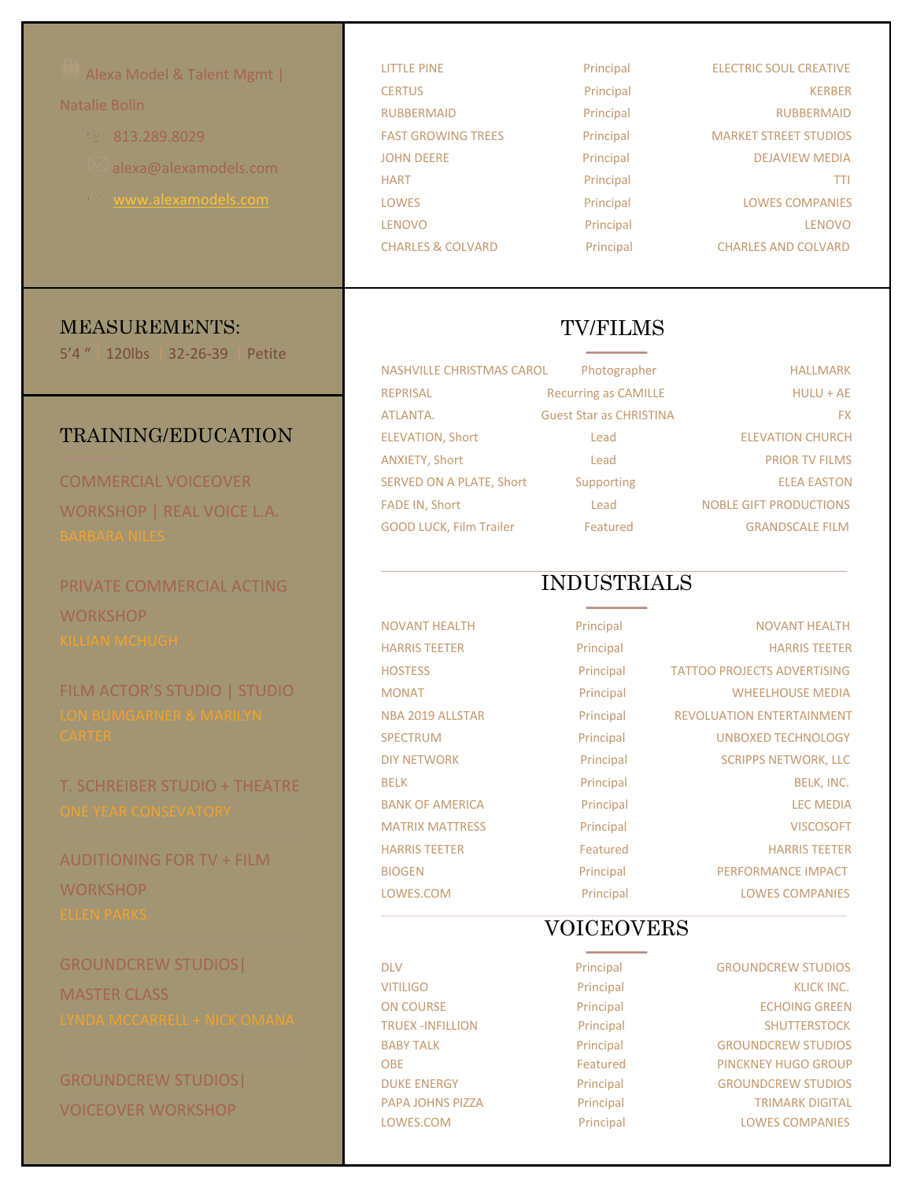| Alexa Model & Talent Mgmt      | <b>LITTLE PINE</b>             | Principal                      | <b>ELECTRIC SOUL CREATIVE</b>      |
|--------------------------------|--------------------------------|--------------------------------|------------------------------------|
|                                | <b>CERTUS</b>                  | Principal                      | <b>KERBER</b>                      |
| Natalie Bolin                  | <b>RUBBERMAID</b>              | Principal                      | <b>RUBBERMAID</b>                  |
| 813.289.8029                   | <b>FAST GROWING TREES</b>      | Principal                      | <b>MARKET STREET STUDIOS</b>       |
| alexa@alexamodels.com          | <b>JOHN DEERE</b>              | Principal                      | <b>DEJAVIEW MEDIA</b>              |
|                                | <b>HART</b>                    | Principal                      | <b>TTI</b>                         |
| www.alexamodels.com            | <b>LOWES</b>                   | Principal                      | <b>LOWES COMPANIES</b>             |
|                                | <b>LENOVO</b>                  | Principal                      | <b>LENOVO</b>                      |
|                                | <b>CHARLES &amp; COLVARD</b>   | Principal                      | <b>CHARLES AND COLVARD</b>         |
|                                |                                |                                |                                    |
| <b>MEASUREMENTS:</b>           | <b>TV/FILMS</b>                |                                |                                    |
| 5'4" 120lbs 32-26-39<br>Petite | NASHVILLE CHRISTMAS CAROL      | Photographer                   | <b>HALLMARK</b>                    |
|                                | <b>REPRISAL</b>                | <b>Recurring as CAMILLE</b>    | $HULU + AE$                        |
|                                | ATLANTA.                       | <b>Guest Star as CHRISTINA</b> | <b>FX</b>                          |
| <b>TRAINING/EDUCATION</b>      | <b>ELEVATION, Short</b>        | Lead                           | <b>ELEVATION CHURCH</b>            |
|                                | ANXIETY, Short                 | Lead                           | <b>PRIOR TV FILMS</b>              |
| <b>COMMERCIAL VOICEOVER</b>    | SERVED ON A PLATE, Short       | Supporting                     | <b>ELEA EASTON</b>                 |
| WORKSHOP   REAL VOICE L.A.     | FADE IN, Short                 | Lead                           | <b>NOBLE GIFT PRODUCTIONS</b>      |
| <b>BARBARA NILES</b>           | <b>GOOD LUCK, Film Trailer</b> | Featured                       | <b>GRANDSCALE FILM</b>             |
|                                |                                |                                |                                    |
| PRIVATE COMMERCIAL ACTING      | <b>INDUSTRIALS</b>             |                                |                                    |
| <b>WORKSHOP</b>                |                                |                                |                                    |
| KILLIAN MCHUGH                 | <b>NOVANT HEALTH</b>           | Principal                      | <b>NOVANT HEALTH</b>               |
|                                | <b>HARRIS TEETER</b>           | Principal                      | <b>HARRIS TEETER</b>               |
| FILM ACTOR'S STUDIO   STUDIO   | <b>HOSTESS</b>                 | Principal                      | <b>TATTOO PROJECTS ADVERTISING</b> |
|                                | <b>MONAT</b>                   | Principal                      | <b>WHEELHOUSE MEDIA</b>            |
| LON BUMGARNER & MARILYN        | NBA 2019 ALLSTAR               | Principal                      | REVOLUATION ENTERTAINMENT          |
| <b>CARTER</b>                  | <b>SPECTRUM</b>                | Principal                      | <b>UNBOXED TECHNOLOGY</b>          |
|                                | <b>DIY NETWORK</b>             | Principal                      | <b>SCRIPPS NETWORK, LLC</b>        |
| T. SCHREIBER STUDIO + THEATRE  | <b>BELK</b>                    | Principal                      | BELK, INC.                         |
| ONE YEAR CONSEVATORY           | <b>BANK OF AMERICA</b>         | Principal                      | <b>LEC MEDIA</b>                   |
|                                | <b>MATRIX MATTRESS</b>         | Principal                      | <b>VISCOSOFT</b>                   |

AUDITIONING FOR TV + FILM **WORKSHOP** 

GROUNDCREW STUDIOS| MASTER CLASS

GROUNDCREW STUDIOS| VOICEOVER WORKSHOP

### VOICEOVERS

HARRIS TEETER Featured Featured HARRIS TEETER BIOGEN Principal Principal PERFORMANCE IMPACT LOWES.COM Principal LOWES COMPANIES

LOWES.COM Principal LOWES COMPANIES

DLV Principal GROUNDCREW STUDIOS VITILIGO Principal Principal KLICK INC. ON COURSE **Principal** Principal **ECHOING GREEN** TRUEX -INFILLION Principal Principal SHUTTERSTOCK BABY TALK **Principal GROUNDCREW STUDIOS** OBE **Featured** PINCKNEY HUGO GROUP DUKE ENERGY **Principal** Principal GROUNDCREW STUDIOS PAPA JOHNS PIZZA Principal Principal TRIMARK DIGITAL